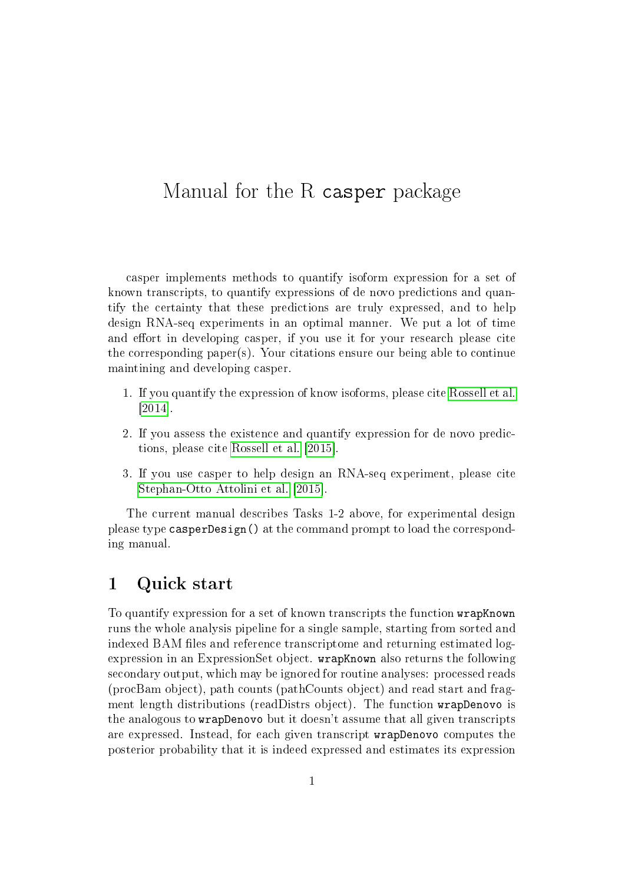# Manual for the R casper package

casper implements methods to quantify isoform expression for a set of known transcripts, to quantify expressions of de novo predictions and quantify the certainty that these predictions are truly expressed, and to help design RNA-seq experiments in an optimal manner. We put a lot of time and effort in developing casper, if you use it for your research please cite the corresponding paper(s). Your citations ensure our being able to continue maintining and developing casper.

- 1. If you quantify the expression of know isoforms, please cite [Rossell et al.](#page-15-0) [\[2014\]](#page-15-0).
- 2. If you assess the existence and quantify expression for de novo predictions, please cite [Rossell et al.](#page-15-1) [\[2015\]](#page-15-1).
- 3. If you use casper to help design an RNA-seq experiment, please cite [Stephan-Otto Attolini et al.](#page-15-2) [\[2015\]](#page-15-2).

The current manual describes Tasks 1-2 above, for experimental design please type casperDesign() at the command prompt to load the corresponding manual.

## 1 Quick start

To quantify expression for a set of known transcripts the function wrapKnown runs the whole analysis pipeline for a single sample, starting from sorted and indexed BAM files and reference transcriptome and returning estimated logexpression in an ExpressionSet object. wrapKnown also returns the following secondary output, which may be ignored for routine analyses: processed reads (procBam object), path counts (pathCounts object) and read start and fragment length distributions (readDistrs object). The function wrapDenovo is the analogous to wrapDenovo but it doesn't assume that all given transcripts are expressed. Instead, for each given transcript wrapDenovo computes the posterior probability that it is indeed expressed and estimates its expression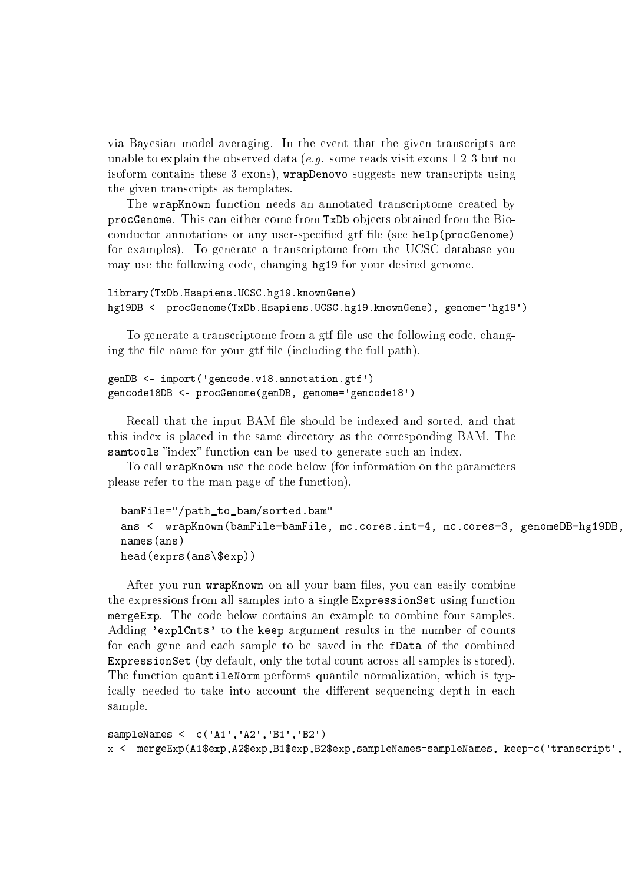via Bayesian model averaging. In the event that the given transcripts are unable to explain the observed data (e.g. some reads visit exons  $1-2-3$  but no isoform contains these 3 exons), wrapDenovo suggests new transcripts using the given transcripts as templates.

The wrapKnown function needs an annotated transcriptome created by procGenome. This can either come from TxDb objects obtained from the Bioconductor annotations or any user-specified gtf file (see help(procGenome) for examples). To generate a transcriptome from the UCSC database you may use the following code, changing hg19 for your desired genome.

```
library(TxDb.Hsapiens.UCSC.hg19.knownGene)
hg19DB <- procGenome(TxDb.Hsapiens.UCSC.hg19.knownGene), genome='hg19')
```
To generate a transcriptome from a gtf file use the following code, changing the file name for your gtf file (including the full path).

```
genDB <- import('gencode.v18.annotation.gtf')
gencode18DB <- procGenome(genDB, genome='gencode18')
```
Recall that the input BAM file should be indexed and sorted, and that this index is placed in the same directory as the corresponding BAM. The samtools "index" function can be used to generate such an index.

To call wrapKnown use the code below (for information on the parameters please refer to the man page of the function).

```
bamFile="/path_to_bam/sorted.bam"
ans <- wrapKnown(bamFile=bamFile, mc.cores.int=4, mc.cores=3, genomeDB=hg19DB,
names(ans)
head(exprs(ans\$exp))
```
After you run wrapKnown on all your bam files, you can easily combine the expressions from all samples into a single ExpressionSet using function mergeExp. The code below contains an example to combine four samples. Adding 'explCnts' to the keep argument results in the number of counts for each gene and each sample to be saved in the fData of the combined ExpressionSet (by default, only the total count across all samples is stored). The function quantileNorm performs quantile normalization, which is typically needed to take into account the different sequencing depth in each sample.

```
sampleNames <- c('A1','A2','B1','B2')
x <- mergeExp(A1$exp,A2$exp,B1$exp,B2$exp,sampleNames=sampleNames, keep=c('transcript',
```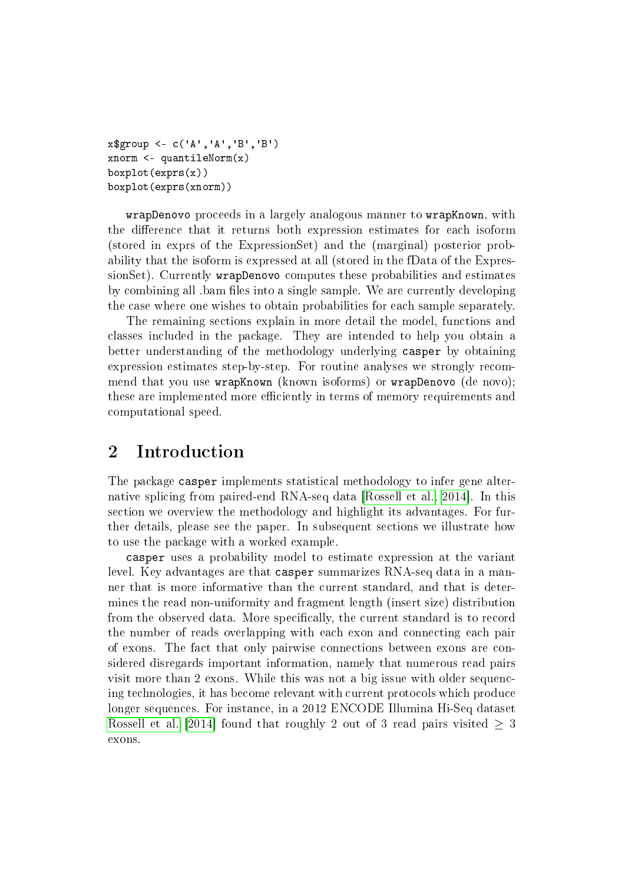```
x$group <- c('A','A','B','B')
xnorm \leftarrow quantileNorm(x)boxplot(exprs(x))
boxplot(exprs(xnorm))
```
wrapDenovo proceeds in a largely analogous manner to wrapKnown, with the difference that it returns both expression estimates for each isoform (stored in exprs of the ExpressionSet) and the (marginal) posterior probability that the isoform is expressed at all (stored in the fData of the ExpressionSet). Currently wrapDenovo computes these probabilities and estimates by combining all .bam files into a single sample. We are currently developing the case where one wishes to obtain probabilities for each sample separately.

The remaining sections explain in more detail the model, functions and classes included in the package. They are intended to help you obtain a better understanding of the methodology underlying casper by obtaining expression estimates step-by-step. For routine analyses we strongly recommend that you use wrapKnown (known isoforms) or wrapDenovo (de novo); these are implemented more efficiently in terms of memory requirements and computational speed.

### 2 Introduction

The package casper implements statistical methodology to infer gene alternative splicing from paired-end RNA-seq data [\[Rossell et al., 2014\]](#page-15-0). In this section we overview the methodology and highlight its advantages. For further details, please see the paper. In subsequent sections we illustrate how to use the package with a worked example.

casper uses a probability model to estimate expression at the variant level. Key advantages are that casper summarizes RNA-seq data in a manner that is more informative than the current standard, and that is determines the read non-uniformity and fragment length (insert size) distribution from the observed data. More specifically, the current standard is to record the number of reads overlapping with each exon and connecting each pair of exons. The fact that only pairwise connections between exons are considered disregards important information, namely that numerous read pairs visit more than 2 exons. While this was not a big issue with older sequencing technologies, it has become relevant with current protocols which produce longer sequences. For instance, in a 2012 ENCODE Illumina Hi-Seq dataset [Rossell et al.](#page-15-0) [\[2014\]](#page-15-0) found that roughly 2 out of 3 read pairs visited  $\geq 3$ exons.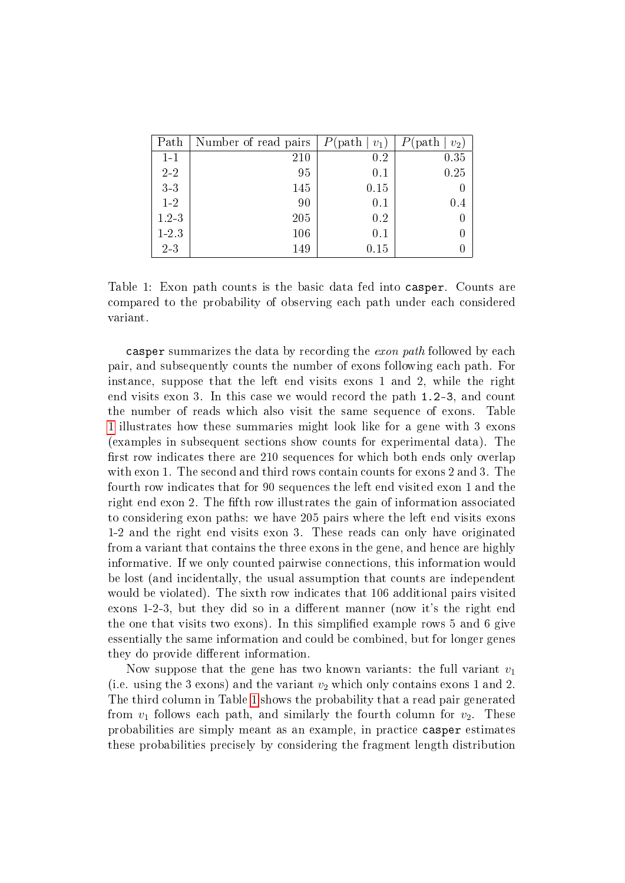| Path      | Number of read pairs | $P(\text{path}$<br>$v_1$ ) | $P(\text{path}$<br>$v_2$ ) |
|-----------|----------------------|----------------------------|----------------------------|
| $1 - 1$   | 210                  | 0.2                        | 0.35                       |
| $2-2$     | 95                   | 0.1                        | 0.25                       |
| $3-3$     | 145                  | 0.15                       |                            |
| $1-2$     | 90                   | 0.1                        | 0.4                        |
| $1.2 - 3$ | 205                  | 0.2                        | 0                          |
| $1 - 2.3$ | 106                  | 0.1                        | 0                          |
| $2-3$     | 149                  | $0.15\,$                   | 0                          |

<span id="page-3-0"></span>Table 1: Exon path counts is the basic data fed into casper. Counts are compared to the probability of observing each path under each considered variant.

casper summarizes the data by recording the *exon path* followed by each pair, and subsequently counts the number of exons following each path. For instance, suppose that the left end visits exons 1 and 2, while the right end visits exon 3. In this case we would record the path 1.2-3, and count the number of reads which also visit the same sequence of exons. Table [1](#page-3-0) illustrates how these summaries might look like for a gene with 3 exons (examples in subsequent sections show counts for experimental data). The first row indicates there are 210 sequences for which both ends only overlap with exon 1. The second and third rows contain counts for exons 2 and 3. The fourth row indicates that for 90 sequences the left end visited exon 1 and the right end exon 2. The fth row illustrates the gain of information associated to considering exon paths: we have 205 pairs where the left end visits exons 1-2 and the right end visits exon 3. These reads can only have originated from a variant that contains the three exons in the gene, and hence are highly informative. If we only counted pairwise connections, this information would be lost (and incidentally, the usual assumption that counts are independent would be violated). The sixth row indicates that 106 additional pairs visited exons 1-2-3, but they did so in a different manner (now it's the right end the one that visits two exons). In this simplified example rows 5 and 6 give essentially the same information and could be combined, but for longer genes they do provide different information.

Now suppose that the gene has two known variants: the full variant  $v_1$ (i.e. using the 3 exons) and the variant  $v_2$  which only contains exons 1 and 2. The third column in Table [1](#page-3-0) shows the probability that a read pair generated from  $v_1$  follows each path, and similarly the fourth column for  $v_2$ . These probabilities are simply meant as an example, in practice casper estimates these probabilities precisely by considering the fragment length distribution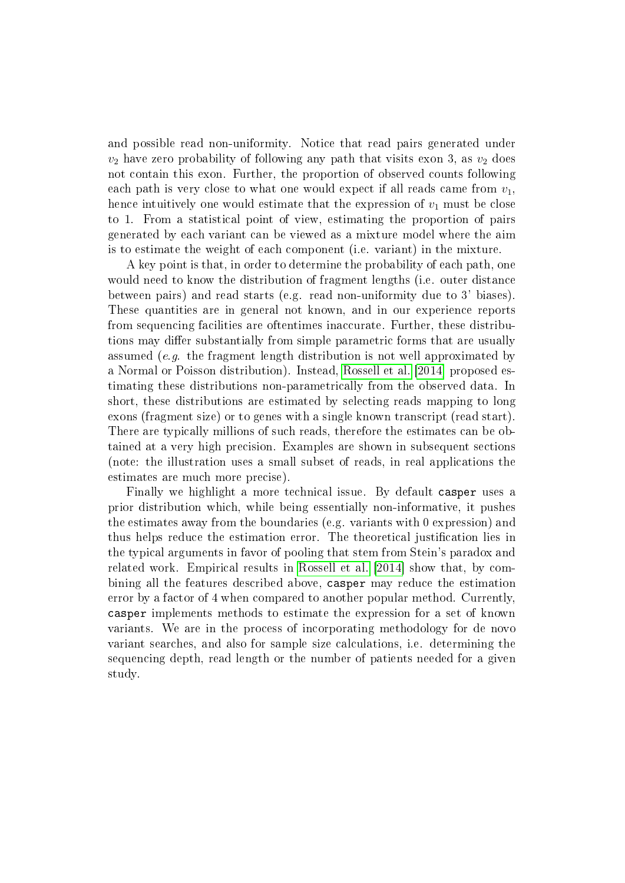and possible read non-uniformity. Notice that read pairs generated under  $v_2$  have zero probability of following any path that visits exon 3, as  $v_2$  does not contain this exon. Further, the proportion of observed counts following each path is very close to what one would expect if all reads came from  $v_1$ . hence intuitively one would estimate that the expression of  $v_1$  must be close to 1. From a statistical point of view, estimating the proportion of pairs generated by each variant can be viewed as a mixture model where the aim is to estimate the weight of each component (i.e. variant) in the mixture.

A key point is that, in order to determine the probability of each path, one would need to know the distribution of fragment lengths (i.e. outer distance between pairs) and read starts (e.g. read non-uniformity due to 3' biases). These quantities are in general not known, and in our experience reports from sequencing facilities are oftentimes inaccurate. Further, these distributions may differ substantially from simple parametric forms that are usually assumed (e.g. the fragment length distribution is not well approximated by a Normal or Poisson distribution). Instead, [Rossell et al.](#page-15-0) [\[2014\]](#page-15-0) proposed estimating these distributions non-parametrically from the observed data. In short, these distributions are estimated by selecting reads mapping to long exons (fragment size) or to genes with a single known transcript (read start). There are typically millions of such reads, therefore the estimates can be obtained at a very high precision. Examples are shown in subsequent sections (note: the illustration uses a small subset of reads, in real applications the estimates are much more precise).

Finally we highlight a more technical issue. By default casper uses a prior distribution which, while being essentially non-informative, it pushes the estimates away from the boundaries (e.g. variants with 0 expression) and thus helps reduce the estimation error. The theoretical justification lies in the typical arguments in favor of pooling that stem from Stein's paradox and related work. Empirical results in [Rossell et al.](#page-15-0) [\[2014\]](#page-15-0) show that, by combining all the features described above, casper may reduce the estimation error by a factor of 4 when compared to another popular method. Currently, casper implements methods to estimate the expression for a set of known variants. We are in the process of incorporating methodology for de novo variant searches, and also for sample size calculations, i.e. determining the sequencing depth, read length or the number of patients needed for a given study.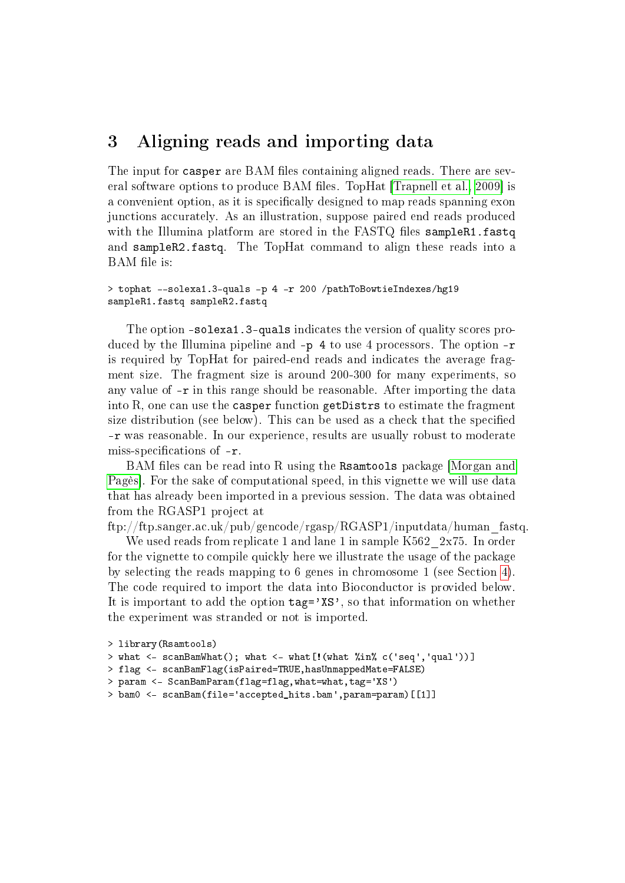## 3 Aligning reads and importing data

The input for casper are BAM files containing aligned reads. There are sev-eral software options to produce BAM files. TopHat [\[Trapnell et al., 2009\]](#page-15-3) is a convenient option, as it is specifically designed to map reads spanning exon junctions accurately. As an illustration, suppose paired end reads produced with the Illumina platform are stored in the  $FASTQ$  files sampleR1.fastq and sampleR2.fastq. The TopHat command to align these reads into a BAM file is:

```
> tophat --solexa1.3-quals -p 4 -r 200 /pathToBowtieIndexes/hg19
sampleR1.fastq sampleR2.fastq
```
The option -solexa1.3-quals indicates the version of quality scores produced by the Illumina pipeline and  $-p$  4 to use 4 processors. The option  $-r$ is required by TopHat for paired-end reads and indicates the average fragment size. The fragment size is around 200-300 for many experiments, so any value of  $-r$  in this range should be reasonable. After importing the data into R, one can use the casper function getDistrs to estimate the fragment size distribution (see below). This can be used as a check that the specified -r was reasonable. In our experience, results are usually robust to moderate miss-specifications of  $-r$ .

BAM files can be read into R using the Rsamtools package [\[Morgan and](#page-14-0) [Pagès\]](#page-14-0). For the sake of computational speed, in this vignette we will use data that has already been imported in a previous session. The data was obtained from the RGASP1 project at

ftp://ftp.sanger.ac.uk/pub/gencode/rgasp/RGASP1/inputdata/human\_fastq.

We used reads from replicate 1 and lane 1 in sample K562\_2x75. In order for the vignette to compile quickly here we illustrate the usage of the package by selecting the reads mapping to 6 genes in chromosome 1 (see Section [4\)](#page-6-0). The code required to import the data into Bioconductor is provided below. It is important to add the option  $\text{tag} =' \text{XS'}$ , so that information on whether the experiment was stranded or not is imported.

```
> library(Rsamtools)
```

```
> what <- scanBamWhat(); what <- what[!(what %in% c('seq','qual'))]
```

```
> flag <- scanBamFlag(isPaired=TRUE,hasUnmappedMate=FALSE)
```

```
> param <- ScanBamParam(flag=flag,what=what,tag='XS')
```

```
> bam0 <- scanBam(file='accepted_hits.bam',param=param)[[1]]
```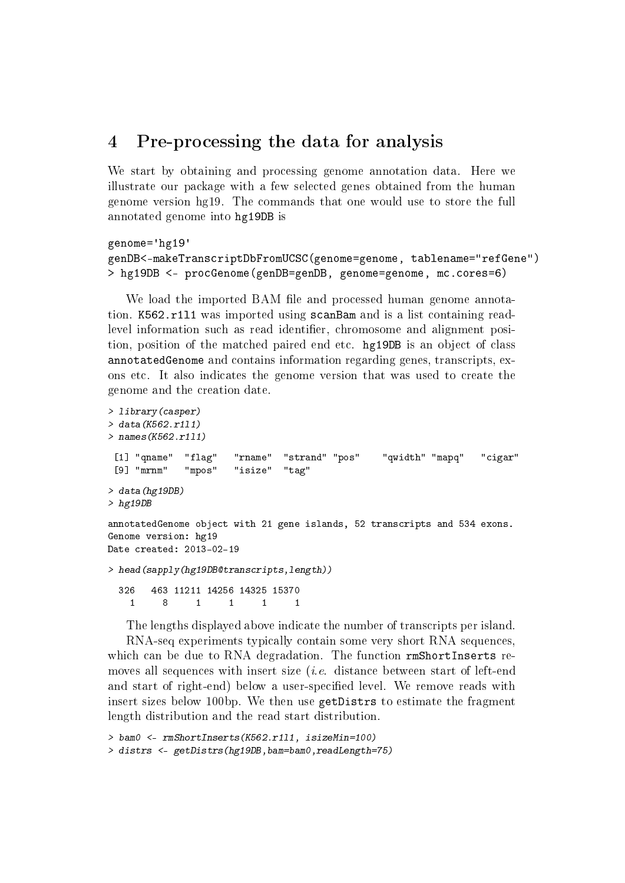## <span id="page-6-0"></span>4 Pre-processing the data for analysis

We start by obtaining and processing genome annotation data. Here we illustrate our package with a few selected genes obtained from the human genome version hg19. The commands that one would use to store the full annotated genome into hg19DB is

```
genome='hg19'
genDB<-makeTranscriptDbFromUCSC(genome=genome, tablename="refGene")
> hg19DB <- procGenome(genDB=genDB, genome=genome, mc.cores=6)
```
We load the imported BAM file and processed human genome annotation. K562.r1l1 was imported using scanBam and is a list containing readlevel information such as read identifier, chromosome and alignment position, position of the matched paired end etc. hg19DB is an object of class annotatedGenome and contains information regarding genes, transcripts, exons etc. It also indicates the genome version that was used to create the genome and the creation date.

```
> library(casper)
> data(K562.r1l1)
> names(K562.r1l1)
 [1] "qname" "flag" "rname" "strand" "pos" "qwidth" "mapq" "cigar"
 [9] "mrnm" "mpos" "isize" "tag"
> data(hg19DB)
> hg19DB
annotatedGenome object with 21 gene islands, 52 transcripts and 534 exons.
Genome version: hg19
Date created: 2013-02-19
> head(sapply(hg19DB@transcripts,length))
  326 463 11211 14256 14325 15370
    1 8 1 1 1 1
```
The lengths displayed above indicate the number of transcripts per island.

RNA-seq experiments typically contain some very short RNA sequences, which can be due to RNA degradation. The function rmShortInserts removes all sequences with insert size  $(i.e.$  distance between start of left-end and start of right-end) below a user-specified level. We remove reads with insert sizes below 100bp. We then use getDistrs to estimate the fragment length distribution and the read start distribution.

```
> bam0 <- rmShortInserts(K562.r1l1, isizeMin=100)
> distrs <- getDistrs(hg19DB,bam=bam0,readLength=75)
```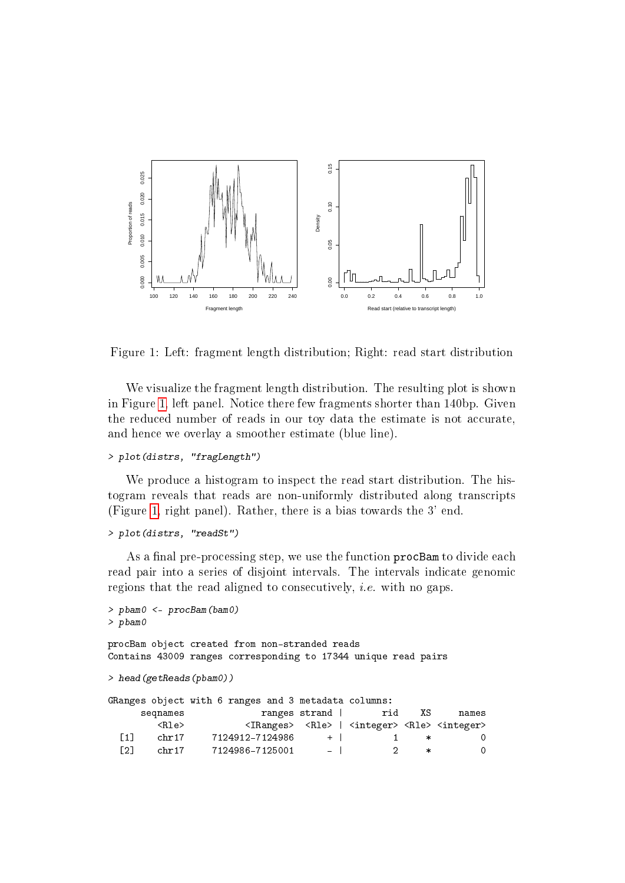

<span id="page-7-0"></span>Figure 1: Left: fragment length distribution; Right: read start distribution

We visualize the fragment length distribution. The resulting plot is shown in Figure [1,](#page-7-0) left panel. Notice there few fragments shorter than 140bp. Given the reduced number of reads in our toy data the estimate is not accurate, and hence we overlay a smoother estimate (blue line).

```
> plot(distrs, "fragLength")
```
We produce a histogram to inspect the read start distribution. The histogram reveals that reads are non-uniformly distributed along transcripts (Figure [1,](#page-7-0) right panel). Rather, there is a bias towards the 3' end.

```
> plot(distrs, "readSt")
```
As a final pre-processing step, we use the function procBam to divide each read pair into a series of disjoint intervals. The intervals indicate genomic regions that the read aligned to consecutively, i.e. with no gaps.

```
> pbam0 <- procBam(bam0)
> pbam0
procBam object created from non-stranded reads
Contains 43009 ranges corresponding to 17344 unique read pairs
> head(getReads(pbam0))
GRanges object with 6 ranges and 3 metadata columns:
    seqnames ranges strand | rid XS names
       <Rle> <IRanges> <Rle> | <integer> <Rle> <integer>
 [1] chr17 7124912-7124986 + | 1 * 0
 [2] chr17 7124986-7125001 - | 2 * 0
```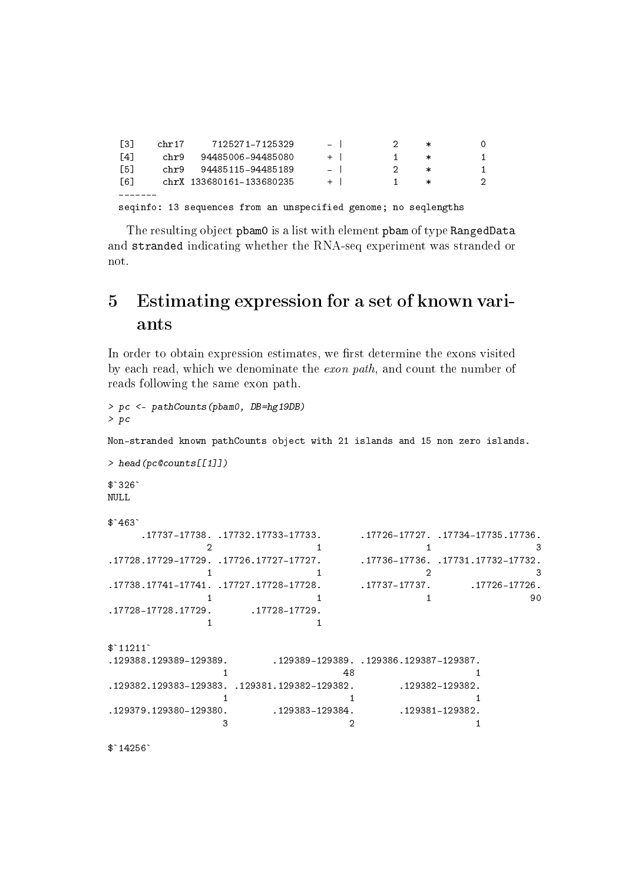[3] chr17 7125271-7125329 - | 2 \* 0  $[4]$  chr9 94485006-94485080 + | 1 \* 1 [5] chr9 94485115-94485189 - | 2 \* 1  $[6]$  chrX 133680161-133680235 + | 1 \* 2 ------ seqinfo: 13 sequences from an unspecified genome; no seqlengths

The resulting object pbam0 is a list with element pbam of type RangedData and stranded indicating whether the RNA-seq experiment was stranded or not.

## 5 Estimating expression for a set of known variants

In order to obtain expression estimates, we first determine the exons visited by each read, which we denominate the exon path, and count the number of reads following the same exon path.

```
> pc <- pathCounts(pbam0, DB=hg19DB)
> pc
```
Non-stranded known pathCounts object with 21 islands and 15 non zero islands.

```
> head(pc@counts[[1]])
$`326`
NULL
$^{\circ}463^{\circ}.17737-17738. .17732.17733-17733. .17726-17727. .17734-17735.17736.
           2 1 3
.17728.17729-17729. .17726.17727-17727. .17736-17736. .17731.17732-17732.
           1 and 2 3
.17738.17741-17741. .17727.17728-17728. .17737-17737. .17726-17726.
      1 1 1 90
.17728-17728.17729. .17728-17729.
           1 1
$^{\text{-}}11211.129388.129389-129389. .129389-129389. .129386.129387-129387.
           1 48 1
.129382.129383-129383. .129381.129382-129382. .129382-129382.
             1 1
.129379.129380-129380. .129383-129384. .129381-129382.3 1
```
 $$^{\circ}14256$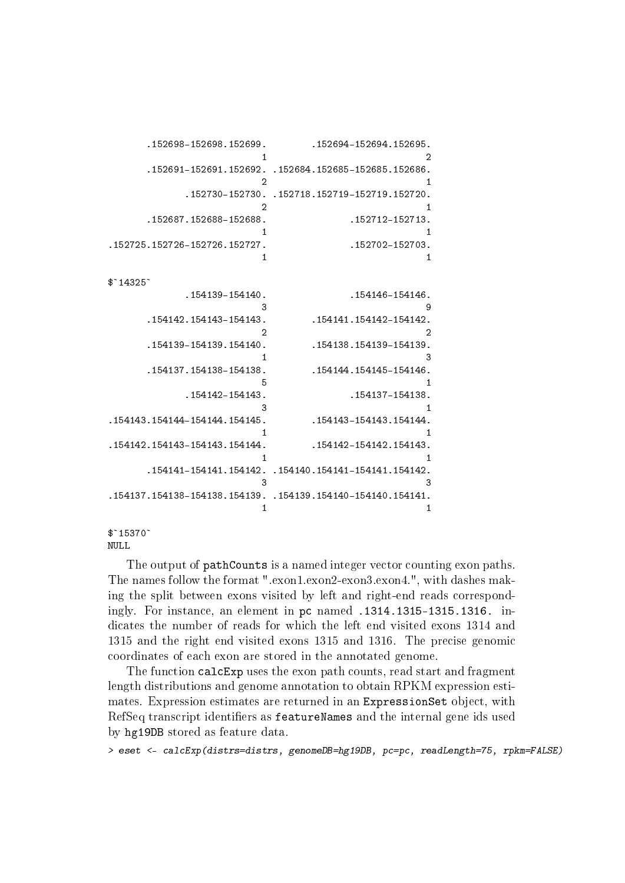```
.152698-152698.152699. .152694-152694.152695.
                  1 2
    .152691-152691.152692. .152684.152685-152685.152686.
                  2 \hspace{1.5cm} 1.152730-152730. .152718.152719-152719.152720.
                  2 \hspace{1.5cm} 1.152687.152688-152688. .152712-152713.
                  1 1
.152725.152726-152726.152727. .152702-152703.
                  1 1
$`14325`
         154139-154140. .154146-154146.
                  3 9
    .154142.154143-154143. .154141.154142-154142.
                  2 2
    .154139-154139.154140. .154138.154139-154139.
                  1 3
    .154137.154138-154138. .154144.154145-154146.
                  5 1
         .154142-154143. .154137-154138.
                  3 \hspace{2.5cm} 1.154143.154144-154144.154145. .154143-154143.154144.
                  1 1
.154142.154143-154143.154144. .154142-154142.154143.
                  1 1
    .154141-154141.154142. .154140.154141-154141.154142.
                  3 3
.154137.154138-154138.154139. .154139.154140-154140.154141.
                  1 1
```
\$`15370` NULL

The output of pathCounts is a named integer vector counting exon paths. The names follow the format ".exon1.exon2-exon3.exon4.", with dashes making the split between exons visited by left and right-end reads correspondingly. For instance, an element in pc named .1314.1315-1315.1316. indicates the number of reads for which the left end visited exons 1314 and 1315 and the right end visited exons 1315 and 1316. The precise genomic coordinates of each exon are stored in the annotated genome.

The function calcExp uses the exon path counts, read start and fragment length distributions and genome annotation to obtain RPKM expression estimates. Expression estimates are returned in an ExpressionSet object, with RefSeq transcript identifiers as featureNames and the internal gene ids used by hg19DB stored as feature data.

> eset <- calcExp(distrs=distrs, genomeDB=hg19DB, pc=pc, readLength=75, rpkm=FALSE)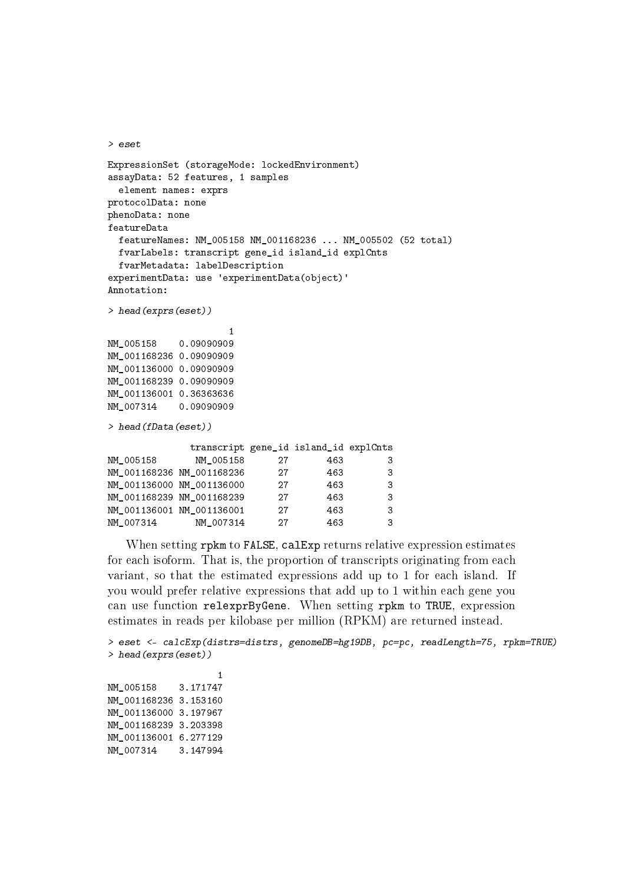```
> eset
ExpressionSet (storageMode: lockedEnvironment)
assayData: 52 features, 1 samples
 element names: exprs
protocolData: none
phenoData: none
featureData
 featureNames: NM_005158 NM_001168236 ... NM_005502 (52 total)
 fvarLabels: transcript gene_id island_id explCnts
 fvarMetadata: labelDescription
experimentData: use 'experimentData(object)'
Annotation:
> head(exprs(eset))
                   1
NM_005158 0.09090909
NM_001168236 0.09090909
NM_001136000 0.09090909
NM_001168239 0.09090909
NM_001136001 0.36363636
NM_007314 0.09090909
> head(fData(eset))
             transcript gene_id island_id explCnts
NM 005158 NM 005158 27 463 3
NM_001168236 NM_001168236 27 463 3
NM_001136000 NM_001136000 27 463 3
NM 001168239 NM 001168239 27 463 3
NM_001136001 NM_001136001 27 463 3
NM_007314 NM_007314 27 463 3
```
When setting rpkm to FALSE, calExp returns relative expression estimates for each isoform. That is, the proportion of transcripts originating from each variant, so that the estimated expressions add up to 1 for each island. If you would prefer relative expressions that add up to 1 within each gene you can use function relexprByGene. When setting rpkm to TRUE, expression estimates in reads per kilobase per million (RPKM) are returned instead.

```
> eset <- calcExp(distrs=distrs, genomeDB=hg19DB, pc=pc, readLength=75, rpkm=TRUE)
> head(exprs(eset))
                    1
```
NM\_005158 3.171747 NM\_001168236 3.153160 NM\_001136000 3.197967 NM\_001168239 3.203398 NM\_001136001 6.277129 NM\_007314 3.147994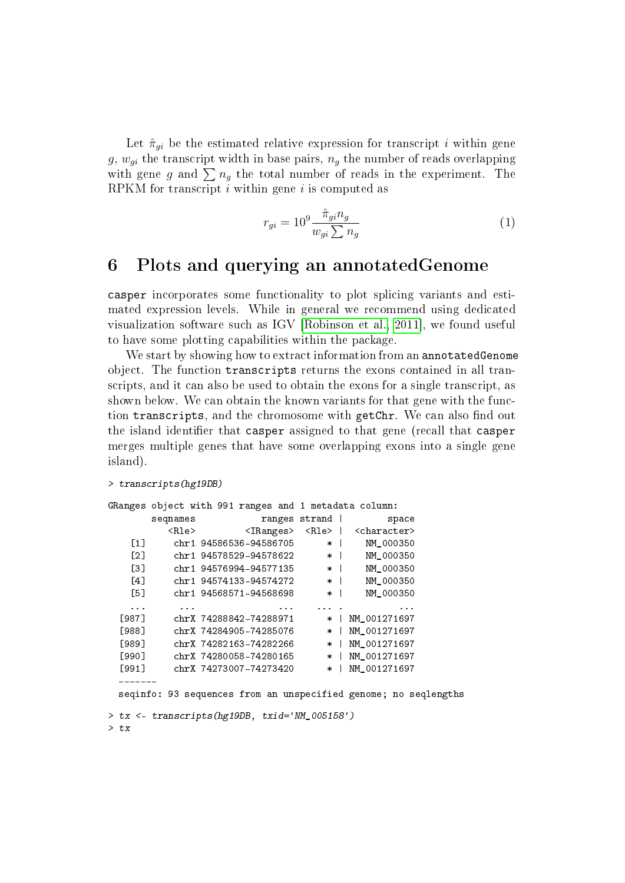Let  $\hat{\pi}_{gi}$  be the estimated relative expression for transcript i within gene g,  $w_{qi}$  the transcript width in base pairs,  $n_q$  the number of reads overlapping with gene g and  $\sum n_q$  the total number of reads in the experiment. The RPKM for transcript  $i$  within gene  $i$  is computed as

$$
r_{gi} = 10^9 \frac{\hat{\pi}_{gi} n_g}{w_{gi} \sum n_g} \tag{1}
$$

## 6 Plots and querying an annotatedGenome

casper incorporates some functionality to plot splicing variants and estimated expression levels. While in general we recommend using dedicated visualization software such as IGV [\[Robinson et al., 2011\]](#page-15-4), we found useful to have some plotting capabilities within the package.

We start by showing how to extract information from an annotatedGenome object. The function transcripts returns the exons contained in all transcripts, and it can also be used to obtain the exons for a single transcript, as shown below. We can obtain the known variants for that gene with the function transcripts, and the chromosome with getChr. We can also find out the island identifier that casper assigned to that gene (recall that casper merges multiple genes that have some overlapping exons into a single gene island).

```
> transcripts(hg19DB)
```

|                                               |                              |  |  |          |                                                                                                   |         | GRanges object with 991 ranges and 1 metadata column:               |  |  |
|-----------------------------------------------|------------------------------|--|--|----------|---------------------------------------------------------------------------------------------------|---------|---------------------------------------------------------------------|--|--|
|                                               | seqnames                     |  |  |          | ranges strand                                                                                     |         | space                                                               |  |  |
|                                               |                              |  |  |          |                                                                                                   |         | <rle> <iranges> <rle> <character></character></rle></iranges></rle> |  |  |
|                                               |                              |  |  |          |                                                                                                   |         | NM 000350<br>$\star$                                                |  |  |
|                                               |                              |  |  |          |                                                                                                   |         | $\ast$  <br>NM 000350                                               |  |  |
|                                               | $[3]$ chr1 94576994-94577135 |  |  |          | $*$                                                                                               |         | NM 000350                                                           |  |  |
|                                               | [4] chr1 94574133-94574272   |  |  |          | $\ast$                                                                                            |         | NM 000350                                                           |  |  |
| T51                                           | chr1 94568571-94568698       |  |  |          |                                                                                                   |         | $\star$ $\qquad$<br>NM 000350                                       |  |  |
| $\cdots$                                      | $\cdots$                     |  |  | $\cdots$ | $\mathbf{a} \cdot \mathbf{a} \cdot \mathbf{a} \cdot \mathbf{a} \cdot \mathbf{a} \cdot \mathbf{a}$ |         | $\cdots$                                                            |  |  |
|                                               |                              |  |  |          |                                                                                                   | $*$ $-$ | NM 001271697                                                        |  |  |
|                                               | [988] chrX 74284905-74285076 |  |  |          |                                                                                                   | $*$     | NM 001271697                                                        |  |  |
|                                               | [989] chrX 74282163-74282266 |  |  |          |                                                                                                   | $*$     | NM 001271697                                                        |  |  |
|                                               | [990] chrX 74280058-74280165 |  |  |          |                                                                                                   |         | *   NM 001271697                                                    |  |  |
|                                               |                              |  |  |          | $*$                                                                                               |         | NM 001271697                                                        |  |  |
|                                               |                              |  |  |          |                                                                                                   |         |                                                                     |  |  |
|                                               |                              |  |  |          |                                                                                                   |         | seqinfo: 93 sequences from an unspecified genome; no seqlengths     |  |  |
| > tx <- transcripts(hg19DB, txid='NM_005158') |                              |  |  |          |                                                                                                   |         |                                                                     |  |  |
| > tx                                          |                              |  |  |          |                                                                                                   |         |                                                                     |  |  |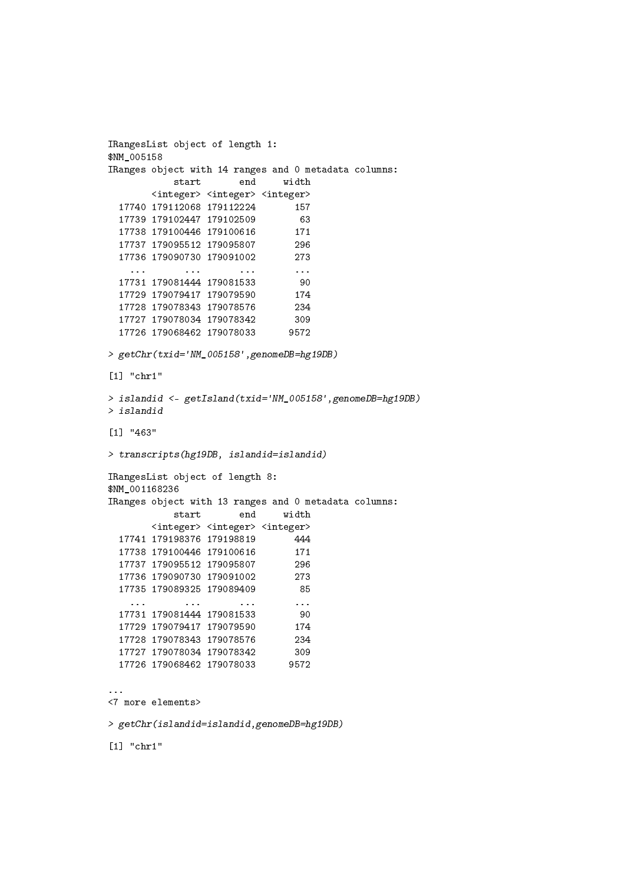```
IRangesList object of length 1:
$NM_005158
IRanges object with 14 ranges and 0 metadata columns:
          start end width
       <integer> <integer> <integer>
 17740 179112068 179112224 157
 17739 179102447 179102509 63
 17738 179100446 179100616 171
 17737 179095512 179095807 296
 17736 179090730 179091002 273
   ... ... ... ...
 17731 179081444 179081533 90
 17729 179079417 179079590 174
 17728 179078343 179078576 234
 17727 179078034 179078342 309
 17726 179068462 179078033 9572
> getChr(txid='NM_005158',genomeDB=hg19DB)
[1] "chr1"
> islandid <- getIsland(txid='NM_005158',genomeDB=hg19DB)
> islandid
[1] "463"
> transcripts(hg19DB, islandid=islandid)
IRangesList object of length 8:
$NM_001168236
IRanges object with 13 ranges and 0 metadata columns:
          start end width
       <integer> <integer> <integer>
 17741 179198376 179198819 444
 17738 179100446 179100616 171
 17737 179095512 179095807 296
 17736 179090730 179091002 273
 17735 179089325 179089409 85
  ... ... ... ...
 17731 179081444 179081533 90
 17729 179079417 179079590 174
 17728 179078343 179078576 234
 17727 179078034 179078342 309
 17726 179068462 179078033 9572
...
<7 more elements>
> getChr(islandid=islandid,genomeDB=hg19DB)
[1] "chr1"
```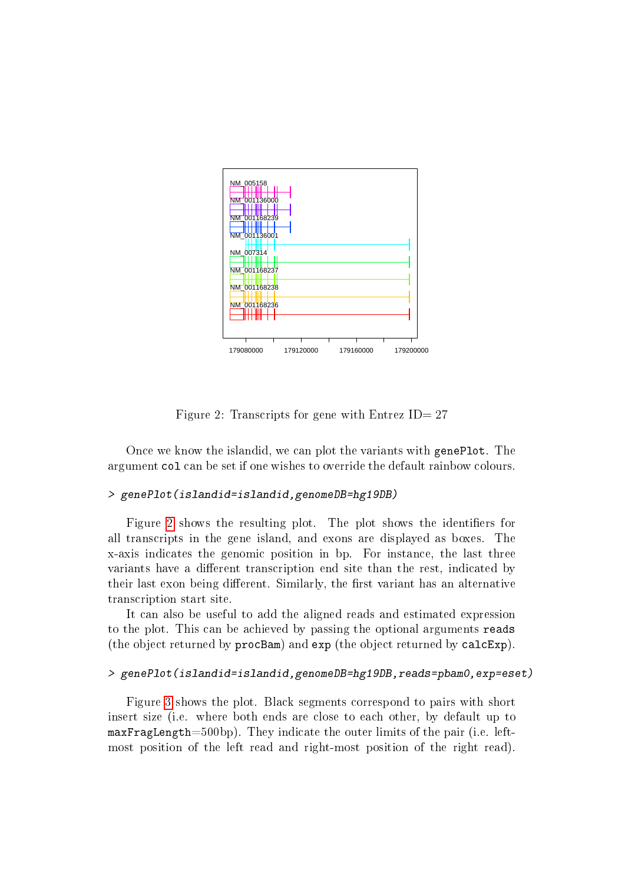

<span id="page-13-0"></span>Figure 2: Transcripts for gene with Entrez  $ID = 27$ 

Once we know the islandid, we can plot the variants with genePlot. The argument col can be set if one wishes to override the default rainbow colours.

#### > genePlot(islandid=islandid,genomeDB=hg19DB)

Figure [2](#page-13-0) shows the resulting plot. The plot shows the identifiers for all transcripts in the gene island, and exons are displayed as boxes. The x-axis indicates the genomic position in bp. For instance, the last three variants have a different transcription end site than the rest, indicated by their last exon being different. Similarly, the first variant has an alternative transcription start site.

It can also be useful to add the aligned reads and estimated expression to the plot. This can be achieved by passing the optional arguments reads (the object returned by procBam) and exp (the object returned by calcExp).

#### > genePlot(islandid=islandid,genomeDB=hg19DB,reads=pbam0,exp=eset)

Figure [3](#page-14-1) shows the plot. Black segments correspond to pairs with short insert size (i.e. where both ends are close to each other, by default up to maxFragLength= $500bp$ ). They indicate the outer limits of the pair (i.e. leftmost position of the left read and right-most position of the right read).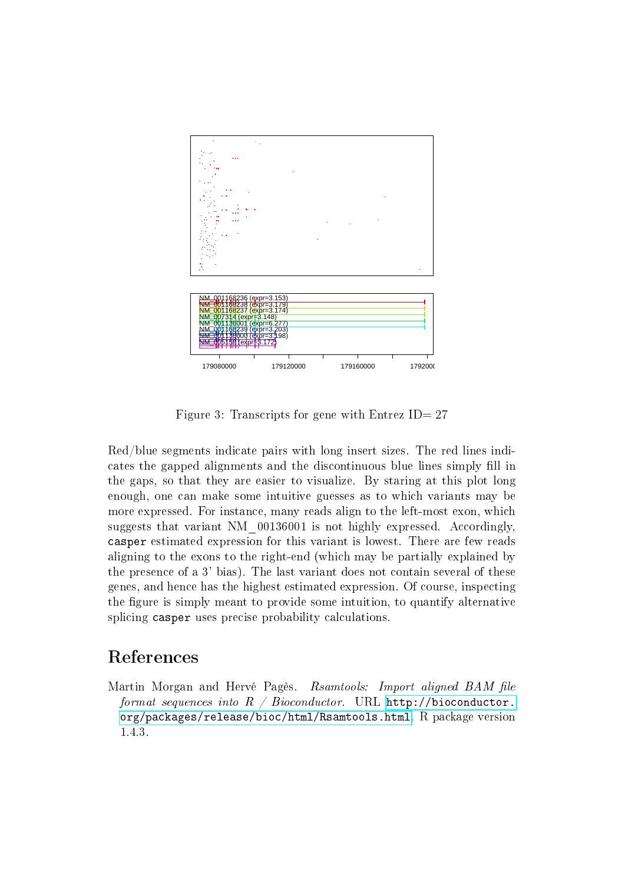

<span id="page-14-1"></span>Figure 3: Transcripts for gene with Entrez  $ID = 27$ 

Red/blue segments indicate pairs with long insert sizes. The red lines indicates the gapped alignments and the discontinuous blue lines simply fill in the gaps, so that they are easier to visualize. By staring at this plot long enough, one can make some intuitive guesses as to which variants may be more expressed. For instance, many reads align to the left-most exon, which suggests that variant NM\_00136001 is not highly expressed. Accordingly, casper estimated expression for this variant is lowest. There are few reads aligning to the exons to the right-end (which may be partially explained by the presence of a 3' bias). The last variant does not contain several of these genes, and hence has the highest estimated expression. Of course, inspecting the figure is simply meant to provide some intuition, to quantify alternative splicing casper uses precise probability calculations.

## References

<span id="page-14-0"></span>Martin Morgan and Hervé Pagès. Rsamtools: Import aligned BAM file format sequences into  $R / Bioconductor$ . URL [http://bioconductor.](http://bioconductor.org/packages/release/bioc/html/Rsamtools.html) [org/packages/release/bioc/html/Rsamtools.html.](http://bioconductor.org/packages/release/bioc/html/Rsamtools.html) R package version 1.4.3.